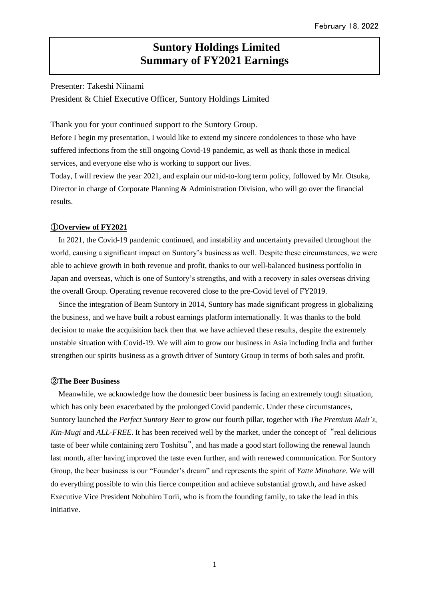# **Suntory Holdings Limited Summary of FY2021 Earnings**

Presenter: Takeshi Niinami

President & Chief Executive Officer, Suntory Holdings Limited

Thank you for your continued support to the Suntory Group.

Before I begin my presentation, I would like to extend my sincere condolences to those who have suffered infections from the still ongoing Covid-19 pandemic, as well as thank those in medical services, and everyone else who is working to support our lives.

Today, I will review the year 2021, and explain our mid-to-long term policy, followed by Mr. Otsuka, Director in charge of Corporate Planning & Administration Division, who will go over the financial results.

# ①**Overview of FY2021**

In 2021, the Covid-19 pandemic continued, and instability and uncertainty prevailed throughout the world, causing a significant impact on Suntory's business as well. Despite these circumstances, we were able to achieve growth in both revenue and profit, thanks to our well-balanced business portfolio in Japan and overseas, which is one of Suntory's strengths, and with a recovery in sales overseas driving the overall Group. Operating revenue recovered close to the pre-Covid level of FY2019.

Since the integration of Beam Suntory in 2014, Suntory has made significant progress in globalizing the business, and we have built a robust earnings platform internationally. It was thanks to the bold decision to make the acquisition back then that we have achieved these results, despite the extremely unstable situation with Covid-19. We will aim to grow our business in Asia including India and further strengthen our spirits business as a growth driver of Suntory Group in terms of both sales and profit.

### ②**The Beer Business**

 Meanwhile, we acknowledge how the domestic beer business is facing an extremely tough situation, which has only been exacerbated by the prolonged Covid pandemic. Under these circumstances, Suntory launched the *Perfect Suntory Beer* to grow our fourth pillar, together with *The Premium Malt's*, *Kin-Mugi* and *ALL-FREE*. It has been received well by the market, under the concept of "real delicious taste of beer while containing zero Toshitsu", and has made a good start following the renewal launch last month, after having improved the taste even further, and with renewed communication. For Suntory Group, the beer business is our "Founder's dream" and represents the spirit of *Yatte Minahare*. We will do everything possible to win this fierce competition and achieve substantial growth, and have asked Executive Vice President Nobuhiro Torii, who is from the founding family, to take the lead in this initiative.

1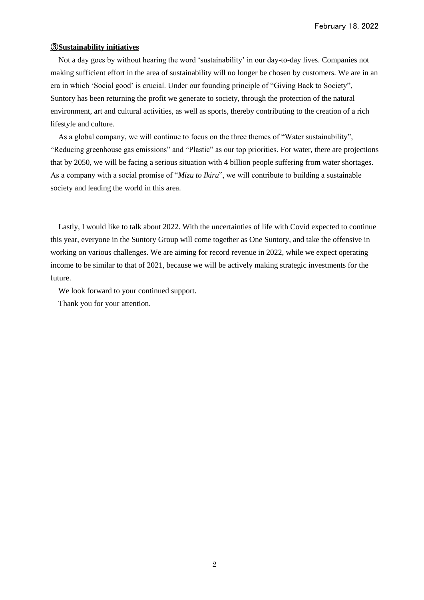## ③**Sustainability initiatives**

Not a day goes by without hearing the word 'sustainability' in our day-to-day lives. Companies not making sufficient effort in the area of sustainability will no longer be chosen by customers. We are in an era in which 'Social good' is crucial. Under our founding principle of "Giving Back to Society", Suntory has been returning the profit we generate to society, through the protection of the natural environment, art and cultural activities, as well as sports, thereby contributing to the creation of a rich lifestyle and culture.

As a global company, we will continue to focus on the three themes of "Water sustainability", "Reducing greenhouse gas emissions" and "Plastic" as our top priorities. For water, there are projections that by 2050, we will be facing a serious situation with 4 billion people suffering from water shortages. As a company with a social promise of "*Mizu to Ikiru*", we will contribute to building a sustainable society and leading the world in this area.

Lastly, I would like to talk about 2022. With the uncertainties of life with Covid expected to continue this year, everyone in the Suntory Group will come together as One Suntory, and take the offensive in working on various challenges. We are aiming for record revenue in 2022, while we expect operating income to be similar to that of 2021, because we will be actively making strategic investments for the future.

We look forward to your continued support.

Thank you for your attention.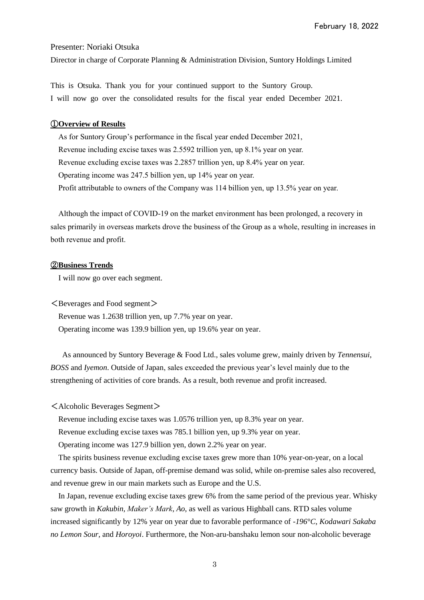February 18, 2022

Presenter: Noriaki Otsuka

Director in charge of Corporate Planning & Administration Division, Suntory Holdings Limited

This is Otsuka. Thank you for your continued support to the Suntory Group. I will now go over the consolidated results for the fiscal year ended December 2021.

### ①**Overview of Results**

As for Suntory Group's performance in the fiscal year ended December 2021, Revenue including excise taxes was 2.5592 trillion yen, up 8.1% year on year. Revenue excluding excise taxes was 2.2857 trillion yen, up 8.4% year on year. Operating income was 247.5 billion yen, up 14% year on year. Profit attributable to owners of the Company was 114 billion yen, up 13.5% year on year.

Although the impact of COVID-19 on the market environment has been prolonged, a recovery in sales primarily in overseas markets drove the business of the Group as a whole, resulting in increases in both revenue and profit.

# ②**Business Trends**

I will now go over each segment.

 $\leq$  Beverages and Food segment $>$ 

Revenue was 1.2638 trillion yen, up 7.7% year on year.

Operating income was 139.9 billion yen, up 19.6% year on year.

As announced by Suntory Beverage & Food Ltd., sales volume grew, mainly driven by *Tennensui*, *BOSS* and *Iyemon*. Outside of Japan, sales exceeded the previous year's level mainly due to the strengthening of activities of core brands. As a result, both revenue and profit increased.

<Alcoholic Beverages Segment>

Revenue including excise taxes was 1.0576 trillion yen, up 8.3% year on year.

Revenue excluding excise taxes was 785.1 billion yen, up 9.3% year on year.

Operating income was 127.9 billion yen, down 2.2% year on year.

The spirits business revenue excluding excise taxes grew more than 10% year-on-year, on a local currency basis. Outside of Japan, off-premise demand was solid, while on-premise sales also recovered, and revenue grew in our main markets such as Europe and the U.S.

In Japan, revenue excluding excise taxes grew 6% from the same period of the previous year. Whisky saw growth in *Kakubin*, *Maker's Mark*, *Ao*, as well as various Highball cans. RTD sales volume increased significantly by 12% year on year due to favorable performance of *-196°C, Kodawari Sakaba no Lemon Sour,* and *Horoyoi*. Furthermore, the Non-aru-banshaku lemon sour non-alcoholic beverage